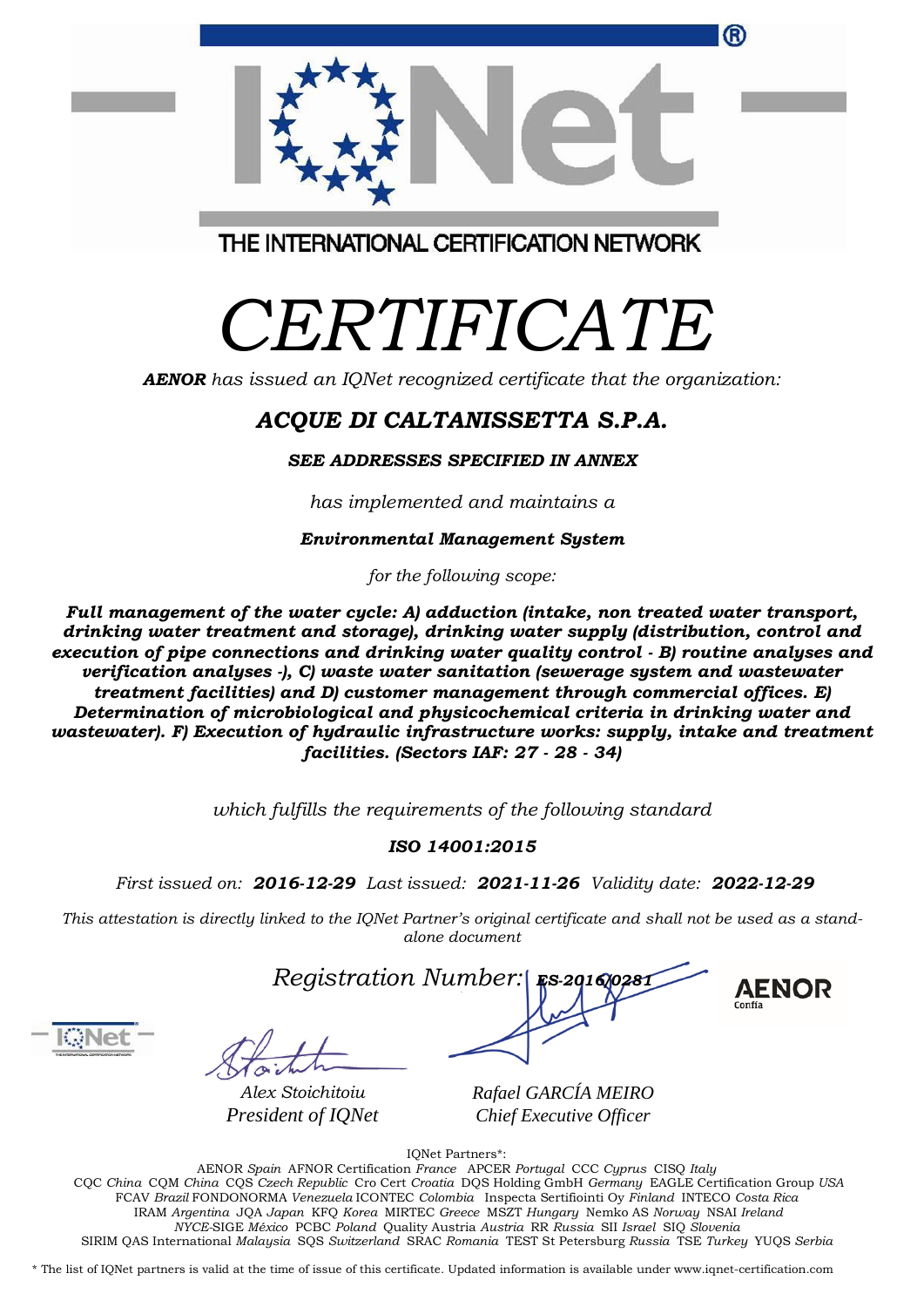| ®                                       |  |
|-----------------------------------------|--|
| THE INTERNATIONAL CERTIFICATION NETWORK |  |

## *CERTIFICATE*

*AENOR has issued an IQNet recognized certificate that the organization:*

## *ACQUE DI CALTANISSETTA S.P.A.*

*SEE ADDRESSES SPECIFIED IN ANNEX*

*has implemented and maintains a*

*Environmental Management System*

*for the following scope:* 

*Full management of the water cycle: A) adduction (intake, non treated water transport, drinking water treatment and storage), drinking water supply (distribution, control and execution of pipe connections and drinking water quality control - B) routine analyses and verification analyses -), C) waste water sanitation (sewerage system and wastewater treatment facilities) and D) customer management through commercial offices. E) Determination of microbiological and physicochemical criteria in drinking water and wastewater). F) Execution of hydraulic infrastructure works: supply, intake and treatment facilities. (Sectors IAF: 27 - 28 - 34)*

*which fulfills the requirements of the following standard*

## *ISO 14001:2015*

*First issued on: 2016-12-29 Last issued: 2021-11-26 Validity date: 2022-12-29*

This attestation is directly linked to the IQNet Partner's original certificate and shall not be used as a stand*alone document*



**AENOR** 

*Alex Stoichitoiu President of IQNet*

*Rafael GARCÍA MEIRO Chief Executive Officer*

IQNet Partners\*:

AENOR *Spain* AFNOR Certification *France* APCER *Portugal* CCC *Cyprus* CISQ *Italy* CQC *China* CQM *China* CQS *Czech Republic* Cro Cert *Croatia* DQS Holding GmbH *Germany* EAGLE Certification Group *USA* FCAV *Brazil* FONDONORMA *Venezuela* ICONTEC *Colombia* Inspecta Sertifiointi Oy *Finland* INTECO *Costa Rica* IRAM *Argentina* JQA *Japan* KFQ *Korea* MIRTEC *Greece* MSZT *Hungary* Nemko AS *Norway* NSAI *Ireland NYCE-*SIGE *México* PCBC *Poland* Quality Austria *Austria* RR *Russia* SII *Israel* SIQ *Slovenia*  SIRIM QAS International *Malaysia* SQS *Switzerland* SRAC *Romania* TEST St Petersburg *Russia* TSE *Turkey* YUQS *Serbia*

\* The list of IQNet partners is valid at the time of issue of this certificate. Updated information is available under www.iqnet-certification.com